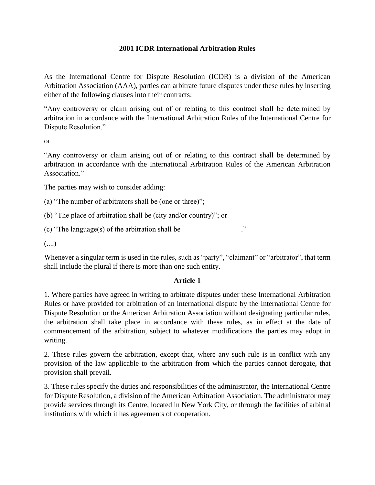### **2001 ICDR International Arbitration Rules**

As the International Centre for Dispute Resolution (ICDR) is a division of the American Arbitration Association (AAA), parties can arbitrate future disputes under these rules by inserting either of the following clauses into their contracts:

"Any controversy or claim arising out of or relating to this contract shall be determined by arbitration in accordance with the International Arbitration Rules of the International Centre for Dispute Resolution."

or

"Any controversy or claim arising out of or relating to this contract shall be determined by arbitration in accordance with the International Arbitration Rules of the American Arbitration Association."

The parties may wish to consider adding:

(a) "The number of arbitrators shall be (one or three)";

(b) "The place of arbitration shall be (city and/or country)"; or

(c) "The language(s) of the arbitration shall be \_\_\_\_\_\_\_\_\_\_\_\_\_\_\_\_."

 $(\ldots)$ 

Whenever a singular term is used in the rules, such as "party", "claimant" or "arbitrator", that term shall include the plural if there is more than one such entity.

#### **Article 1**

1. Where parties have agreed in writing to arbitrate disputes under these International Arbitration Rules or have provided for arbitration of an international dispute by the International Centre for Dispute Resolution or the American Arbitration Association without designating particular rules, the arbitration shall take place in accordance with these rules, as in effect at the date of commencement of the arbitration, subject to whatever modifications the parties may adopt in writing.

2. These rules govern the arbitration, except that, where any such rule is in conflict with any provision of the law applicable to the arbitration from which the parties cannot derogate, that provision shall prevail.

3. These rules specify the duties and responsibilities of the administrator, the International Centre for Dispute Resolution, a division of the American Arbitration Association. The administrator may provide services through its Centre, located in New York City, or through the facilities of arbitral institutions with which it has agreements of cooperation.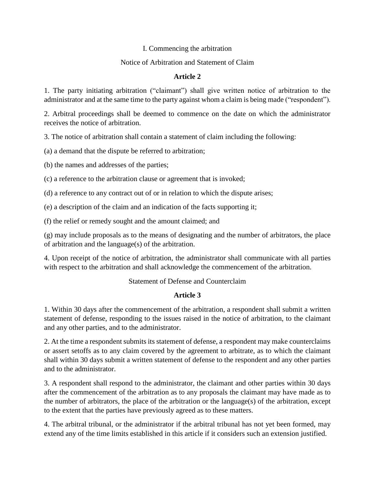# I. Commencing the arbitration

# Notice of Arbitration and Statement of Claim

# **Article 2**

1. The party initiating arbitration ("claimant") shall give written notice of arbitration to the administrator and at the same time to the party against whom a claim is being made ("respondent").

2. Arbitral proceedings shall be deemed to commence on the date on which the administrator receives the notice of arbitration.

3. The notice of arbitration shall contain a statement of claim including the following:

(a) a demand that the dispute be referred to arbitration;

(b) the names and addresses of the parties;

(c) a reference to the arbitration clause or agreement that is invoked;

(d) a reference to any contract out of or in relation to which the dispute arises;

(e) a description of the claim and an indication of the facts supporting it;

(f) the relief or remedy sought and the amount claimed; and

(g) may include proposals as to the means of designating and the number of arbitrators, the place of arbitration and the language(s) of the arbitration.

4. Upon receipt of the notice of arbitration, the administrator shall communicate with all parties with respect to the arbitration and shall acknowledge the commencement of the arbitration.

Statement of Defense and Counterclaim

# **Article 3**

1. Within 30 days after the commencement of the arbitration, a respondent shall submit a written statement of defense, responding to the issues raised in the notice of arbitration, to the claimant and any other parties, and to the administrator.

2. At the time a respondent submits its statement of defense, a respondent may make counterclaims or assert setoffs as to any claim covered by the agreement to arbitrate, as to which the claimant shall within 30 days submit a written statement of defense to the respondent and any other parties and to the administrator.

3. A respondent shall respond to the administrator, the claimant and other parties within 30 days after the commencement of the arbitration as to any proposals the claimant may have made as to the number of arbitrators, the place of the arbitration or the language(s) of the arbitration, except to the extent that the parties have previously agreed as to these matters.

4. The arbitral tribunal, or the administrator if the arbitral tribunal has not yet been formed, may extend any of the time limits established in this article if it considers such an extension justified.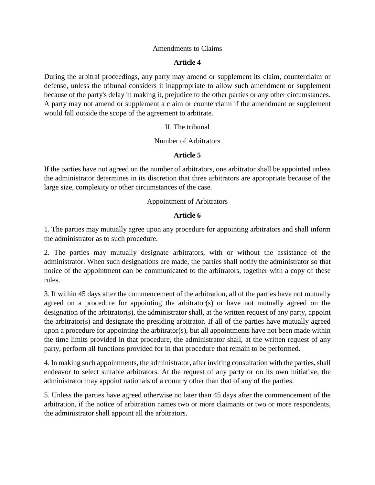#### Amendments to Claims

#### **Article 4**

During the arbitral proceedings, any party may amend or supplement its claim, counterclaim or defense, unless the tribunal considers it inappropriate to allow such amendment or supplement because of the party's delay in making it, prejudice to the other parties or any other circumstances. A party may not amend or supplement a claim or counterclaim if the amendment or supplement would fall outside the scope of the agreement to arbitrate.

II. The tribunal

Number of Arbitrators

# **Article 5**

If the parties have not agreed on the number of arbitrators, one arbitrator shall be appointed unless the administrator determines in its discretion that three arbitrators are appropriate because of the large size, complexity or other circumstances of the case.

# Appointment of Arbitrators

# **Article 6**

1. The parties may mutually agree upon any procedure for appointing arbitrators and shall inform the administrator as to such procedure.

2. The parties may mutually designate arbitrators, with or without the assistance of the administrator. When such designations are made, the parties shall notify the administrator so that notice of the appointment can be communicated to the arbitrators, together with a copy of these rules.

3. If within 45 days after the commencement of the arbitration, all of the parties have not mutually agreed on a procedure for appointing the arbitrator(s) or have not mutually agreed on the designation of the arbitrator(s), the administrator shall, at the written request of any party, appoint the arbitrator(s) and designate the presiding arbitrator. If all of the parties have mutually agreed upon a procedure for appointing the arbitrator(s), but all appointments have not been made within the time limits provided in that procedure, the administrator shall, at the written request of any party, perform all functions provided for in that procedure that remain to be performed.

4. In making such appointments, the administrator, after inviting consultation with the parties, shall endeavor to select suitable arbitrators. At the request of any party or on its own initiative, the administrator may appoint nationals of a country other than that of any of the parties.

5. Unless the parties have agreed otherwise no later than 45 days after the commencement of the arbitration, if the notice of arbitration names two or more claimants or two or more respondents, the administrator shall appoint all the arbitrators.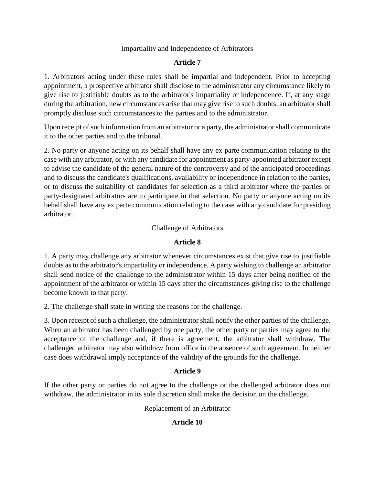# Impartiality and Independence of Arbitrators

# **Article 7**

1. Arbitrators acting under these rules shall be impartial and independent. Prior to accepting appointment, a prospective arbitrator shall disclose to the administrator any circumstance likely to give rise to justifiable doubts as to the arbitrator's impartiality or independence. If, at any stage during the arbitration, new circumstances arise that may give rise to such doubts, an arbitrator shall promptly disclose such circumstances to the parties and to the administrator.

Upon receipt of such information from an arbitrator or a party, the administrator shall communicate it to the other parties and to the tribunal.

2. No party or anyone acting on its behalf shall have any ex parte communication relating to the case with any arbitrator, or with any candidate for appointment as party-appointed arbitrator except to advise the candidate of the general nature of the controversy and of the anticipated proceedings and to discuss the candidate's qualifications, availability or independence in relation to the parties, or to discuss the suitability of candidates for selection as a third arbitrator where the parties or party-designated arbitrators are to participate in that selection. No party or anyone acting on its behalf shall have any ex parte communication relating to the case with any candidate for presiding arbitrator.

# Challenge of Arbitrators

# **Article 8**

1. A party may challenge any arbitrator whenever circumstances exist that give rise to justifiable doubts as to the arbitrator's impartiality or independence. A party wishing to challenge an arbitrator shall send notice of the challenge to the administrator within 15 days after being notified of the appointment of the arbitrator or within 15 days after the circumstances giving rise to the challenge become known to that party.

2. The challenge shall state in writing the reasons for the challenge.

3. Upon receipt of such a challenge, the administrator shall notify the other parties of the challenge. When an arbitrator has been challenged by one party, the other party or parties may agree to the acceptance of the challenge and, if there is agreement, the arbitrator shall withdraw. The challenged arbitrator may also withdraw from office in the absence of such agreement. In neither case does withdrawal imply acceptance of the validity of the grounds for the challenge.

# **Article 9**

If the other party or parties do not agree to the challenge or the challenged arbitrator does not withdraw, the administrator in its sole discretion shall make the decision on the challenge.

Replacement of an Arbitrator

# **Article 10**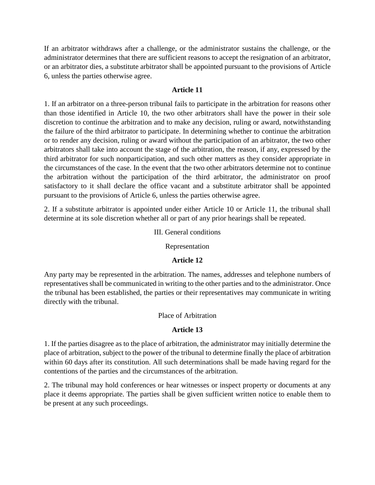If an arbitrator withdraws after a challenge, or the administrator sustains the challenge, or the administrator determines that there are sufficient reasons to accept the resignation of an arbitrator, or an arbitrator dies, a substitute arbitrator shall be appointed pursuant to the provisions of Article 6, unless the parties otherwise agree.

### **Article 11**

1. If an arbitrator on a three-person tribunal fails to participate in the arbitration for reasons other than those identified in Article 10, the two other arbitrators shall have the power in their sole discretion to continue the arbitration and to make any decision, ruling or award, notwithstanding the failure of the third arbitrator to participate. In determining whether to continue the arbitration or to render any decision, ruling or award without the participation of an arbitrator, the two other arbitrators shall take into account the stage of the arbitration, the reason, if any, expressed by the third arbitrator for such nonparticipation, and such other matters as they consider appropriate in the circumstances of the case. In the event that the two other arbitrators determine not to continue the arbitration without the participation of the third arbitrator, the administrator on proof satisfactory to it shall declare the office vacant and a substitute arbitrator shall be appointed pursuant to the provisions of Article 6, unless the parties otherwise agree.

2. If a substitute arbitrator is appointed under either Article 10 or Article 11, the tribunal shall determine at its sole discretion whether all or part of any prior hearings shall be repeated.

III. General conditions

#### Representation

#### **Article 12**

Any party may be represented in the arbitration. The names, addresses and telephone numbers of representatives shall be communicated in writing to the other parties and to the administrator. Once the tribunal has been established, the parties or their representatives may communicate in writing directly with the tribunal.

#### Place of Arbitration

# **Article 13**

1. If the parties disagree as to the place of arbitration, the administrator may initially determine the place of arbitration, subject to the power of the tribunal to determine finally the place of arbitration within 60 days after its constitution. All such determinations shall be made having regard for the contentions of the parties and the circumstances of the arbitration.

2. The tribunal may hold conferences or hear witnesses or inspect property or documents at any place it deems appropriate. The parties shall be given sufficient written notice to enable them to be present at any such proceedings.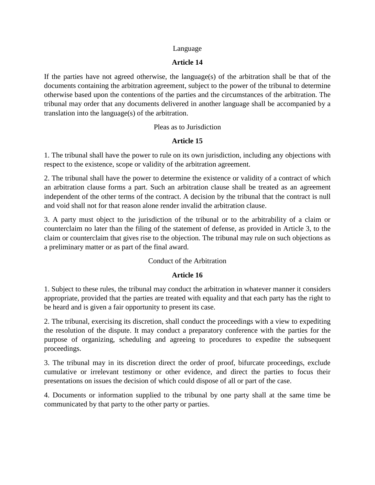### Language

### **Article 14**

If the parties have not agreed otherwise, the language(s) of the arbitration shall be that of the documents containing the arbitration agreement, subject to the power of the tribunal to determine otherwise based upon the contentions of the parties and the circumstances of the arbitration. The tribunal may order that any documents delivered in another language shall be accompanied by a translation into the language(s) of the arbitration.

### Pleas as to Jurisdiction

### **Article 15**

1. The tribunal shall have the power to rule on its own jurisdiction, including any objections with respect to the existence, scope or validity of the arbitration agreement.

2. The tribunal shall have the power to determine the existence or validity of a contract of which an arbitration clause forms a part. Such an arbitration clause shall be treated as an agreement independent of the other terms of the contract. A decision by the tribunal that the contract is null and void shall not for that reason alone render invalid the arbitration clause.

3. A party must object to the jurisdiction of the tribunal or to the arbitrability of a claim or counterclaim no later than the filing of the statement of defense, as provided in Article 3, to the claim or counterclaim that gives rise to the objection. The tribunal may rule on such objections as a preliminary matter or as part of the final award.

#### Conduct of the Arbitration

# **Article 16**

1. Subject to these rules, the tribunal may conduct the arbitration in whatever manner it considers appropriate, provided that the parties are treated with equality and that each party has the right to be heard and is given a fair opportunity to present its case.

2. The tribunal, exercising its discretion, shall conduct the proceedings with a view to expediting the resolution of the dispute. It may conduct a preparatory conference with the parties for the purpose of organizing, scheduling and agreeing to procedures to expedite the subsequent proceedings.

3. The tribunal may in its discretion direct the order of proof, bifurcate proceedings, exclude cumulative or irrelevant testimony or other evidence, and direct the parties to focus their presentations on issues the decision of which could dispose of all or part of the case.

4. Documents or information supplied to the tribunal by one party shall at the same time be communicated by that party to the other party or parties.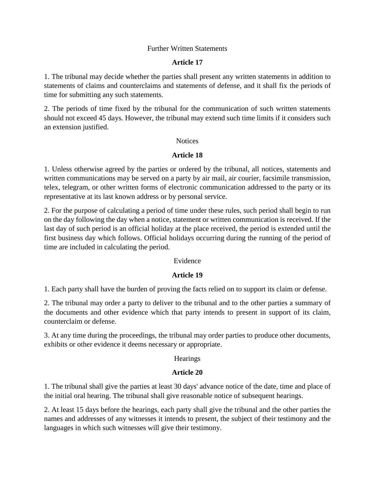#### Further Written Statements

#### **Article 17**

1. The tribunal may decide whether the parties shall present any written statements in addition to statements of claims and counterclaims and statements of defense, and it shall fix the periods of time for submitting any such statements.

2. The periods of time fixed by the tribunal for the communication of such written statements should not exceed 45 days. However, the tribunal may extend such time limits if it considers such an extension justified.

#### **Notices**

#### **Article 18**

1. Unless otherwise agreed by the parties or ordered by the tribunal, all notices, statements and written communications may be served on a party by air mail, air courier, facsimile transmission, telex, telegram, or other written forms of electronic communication addressed to the party or its representative at its last known address or by personal service.

2. For the purpose of calculating a period of time under these rules, such period shall begin to run on the day following the day when a notice, statement or written communication is received. If the last day of such period is an official holiday at the place received, the period is extended until the first business day which follows. Official holidays occurring during the running of the period of time are included in calculating the period.

#### Evidence

#### **Article 19**

1. Each party shall have the burden of proving the facts relied on to support its claim or defense.

2. The tribunal may order a party to deliver to the tribunal and to the other parties a summary of the documents and other evidence which that party intends to present in support of its claim, counterclaim or defense.

3. At any time during the proceedings, the tribunal may order parties to produce other documents, exhibits or other evidence it deems necessary or appropriate.

#### **Hearings**

#### **Article 20**

1. The tribunal shall give the parties at least 30 days' advance notice of the date, time and place of the initial oral hearing. The tribunal shall give reasonable notice of subsequent hearings.

2. At least 15 days before the hearings, each party shall give the tribunal and the other parties the names and addresses of any witnesses it intends to present, the subject of their testimony and the languages in which such witnesses will give their testimony.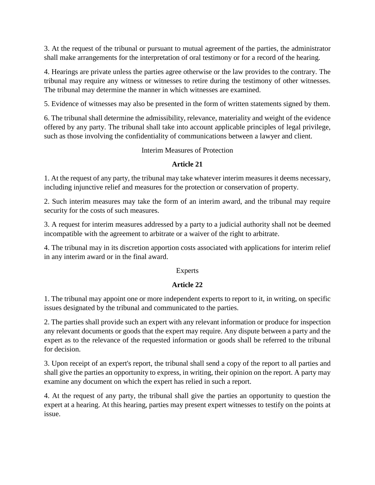3. At the request of the tribunal or pursuant to mutual agreement of the parties, the administrator shall make arrangements for the interpretation of oral testimony or for a record of the hearing.

4. Hearings are private unless the parties agree otherwise or the law provides to the contrary. The tribunal may require any witness or witnesses to retire during the testimony of other witnesses. The tribunal may determine the manner in which witnesses are examined.

5. Evidence of witnesses may also be presented in the form of written statements signed by them.

6. The tribunal shall determine the admissibility, relevance, materiality and weight of the evidence offered by any party. The tribunal shall take into account applicable principles of legal privilege, such as those involving the confidentiality of communications between a lawyer and client.

# Interim Measures of Protection

# **Article 21**

1. At the request of any party, the tribunal may take whatever interim measures it deems necessary, including injunctive relief and measures for the protection or conservation of property.

2. Such interim measures may take the form of an interim award, and the tribunal may require security for the costs of such measures.

3. A request for interim measures addressed by a party to a judicial authority shall not be deemed incompatible with the agreement to arbitrate or a waiver of the right to arbitrate.

4. The tribunal may in its discretion apportion costs associated with applications for interim relief in any interim award or in the final award.

# Experts

# **Article 22**

1. The tribunal may appoint one or more independent experts to report to it, in writing, on specific issues designated by the tribunal and communicated to the parties.

2. The parties shall provide such an expert with any relevant information or produce for inspection any relevant documents or goods that the expert may require. Any dispute between a party and the expert as to the relevance of the requested information or goods shall be referred to the tribunal for decision.

3. Upon receipt of an expert's report, the tribunal shall send a copy of the report to all parties and shall give the parties an opportunity to express, in writing, their opinion on the report. A party may examine any document on which the expert has relied in such a report.

4. At the request of any party, the tribunal shall give the parties an opportunity to question the expert at a hearing. At this hearing, parties may present expert witnesses to testify on the points at issue.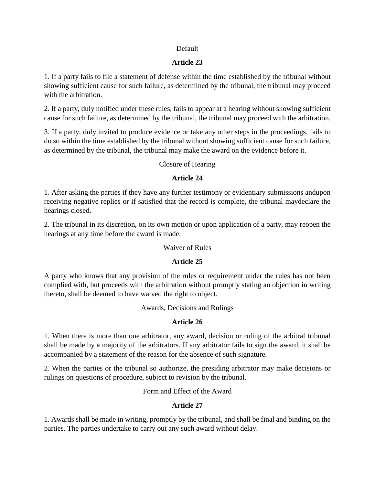#### Default

### **Article 23**

1. If a party fails to file a statement of defense within the time established by the tribunal without showing sufficient cause for such failure, as determined by the tribunal, the tribunal may proceed with the arbitration.

2. If a party, duly notified under these rules, fails to appear at a hearing without showing sufficient cause for such failure, as determined by the tribunal, the tribunal may proceed with the arbitration.

3. If a party, duly invited to produce evidence or take any other steps in the proceedings, fails to do so within the time established by the tribunal without showing sufficient cause for such failure, as determined by the tribunal, the tribunal may make the award on the evidence before it.

# Closure of Hearing

### **Article 24**

1. After asking the parties if they have any further testimony or evidentiary submissions andupon receiving negative replies or if satisfied that the record is complete, the tribunal maydeclare the hearings closed.

2. The tribunal in its discretion, on its own motion or upon application of a party, may reopen the hearings at any time before the award is made.

# Waiver of Rules

# **Article 25**

A party who knows that any provision of the rules or requirement under the rules has not been complied with, but proceeds with the arbitration without promptly stating an objection in writing thereto, shall be deemed to have waived the right to object.

Awards, Decisions and Rulings

# **Article 26**

1. When there is more than one arbitrator, any award, decision or ruling of the arbitral tribunal shall be made by a majority of the arbitrators. If any arbitrator fails to sign the award, it shall be accompanied by a statement of the reason for the absence of such signature.

2. When the parties or the tribunal so authorize, the presiding arbitrator may make decisions or rulings on questions of procedure, subject to revision by the tribunal.

Form and Effect of the Award

# **Article 27**

1. Awards shall be made in writing, promptly by the tribunal, and shall be final and binding on the parties. The parties undertake to carry out any such award without delay.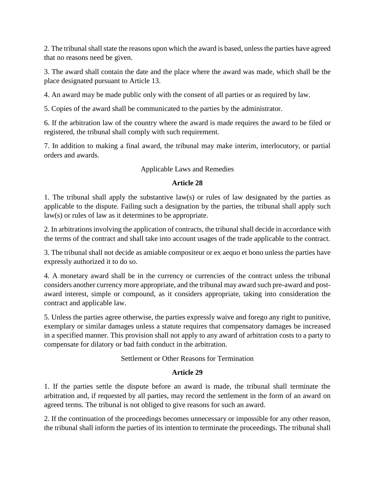2. The tribunal shall state the reasons upon which the award is based, unless the parties have agreed that no reasons need be given.

3. The award shall contain the date and the place where the award was made, which shall be the place designated pursuant to Article 13.

4. An award may be made public only with the consent of all parties or as required by law.

5. Copies of the award shall be communicated to the parties by the administrator.

6. If the arbitration law of the country where the award is made requires the award to be filed or registered, the tribunal shall comply with such requirement.

7. In addition to making a final award, the tribunal may make interim, interlocutory, or partial orders and awards.

# Applicable Laws and Remedies

# **Article 28**

1. The tribunal shall apply the substantive law(s) or rules of law designated by the parties as applicable to the dispute. Failing such a designation by the parties, the tribunal shall apply such law(s) or rules of law as it determines to be appropriate.

2. In arbitrations involving the application of contracts, the tribunal shall decide in accordance with the terms of the contract and shall take into account usages of the trade applicable to the contract.

3. The tribunal shall not decide as amiable compositeur or ex aequo et bono unless the parties have expressly authorized it to do so.

4. A monetary award shall be in the currency or currencies of the contract unless the tribunal considers another currency more appropriate, and the tribunal may award such pre-award and postaward interest, simple or compound, as it considers appropriate, taking into consideration the contract and applicable law.

5. Unless the parties agree otherwise, the parties expressly waive and forego any right to punitive, exemplary or similar damages unless a statute requires that compensatory damages be increased in a specified manner. This provision shall not apply to any award of arbitration costs to a party to compensate for dilatory or bad faith conduct in the arbitration.

# Settlement or Other Reasons for Termination

# **Article 29**

1. If the parties settle the dispute before an award is made, the tribunal shall terminate the arbitration and, if requested by all parties, may record the settlement in the form of an award on agreed terms. The tribunal is not obliged to give reasons for such an award.

2. If the continuation of the proceedings becomes unnecessary or impossible for any other reason, the tribunal shall inform the parties of its intention to terminate the proceedings. The tribunal shall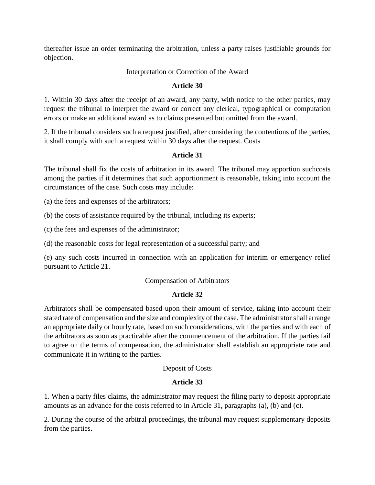thereafter issue an order terminating the arbitration, unless a party raises justifiable grounds for objection.

# Interpretation or Correction of the Award

# **Article 30**

1. Within 30 days after the receipt of an award, any party, with notice to the other parties, may request the tribunal to interpret the award or correct any clerical, typographical or computation errors or make an additional award as to claims presented but omitted from the award.

2. If the tribunal considers such a request justified, after considering the contentions of the parties, it shall comply with such a request within 30 days after the request. Costs

# **Article 31**

The tribunal shall fix the costs of arbitration in its award. The tribunal may apportion suchcosts among the parties if it determines that such apportionment is reasonable, taking into account the circumstances of the case. Such costs may include:

(a) the fees and expenses of the arbitrators;

(b) the costs of assistance required by the tribunal, including its experts;

(c) the fees and expenses of the administrator;

(d) the reasonable costs for legal representation of a successful party; and

(e) any such costs incurred in connection with an application for interim or emergency relief pursuant to Article 21.

# Compensation of Arbitrators

# **Article 32**

Arbitrators shall be compensated based upon their amount of service, taking into account their stated rate of compensation and the size and complexity of the case. The administrator shall arrange an appropriate daily or hourly rate, based on such considerations, with the parties and with each of the arbitrators as soon as practicable after the commencement of the arbitration. If the parties fail to agree on the terms of compensation, the administrator shall establish an appropriate rate and communicate it in writing to the parties.

# Deposit of Costs

# **Article 33**

1. When a party files claims, the administrator may request the filing party to deposit appropriate amounts as an advance for the costs referred to in Article 31, paragraphs (a), (b) and (c).

2. During the course of the arbitral proceedings, the tribunal may request supplementary deposits from the parties.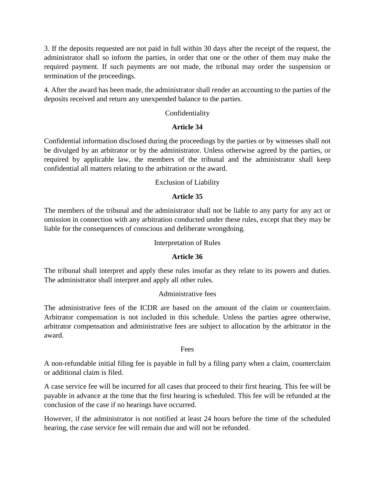3. If the deposits requested are not paid in full within 30 days after the receipt of the request, the administrator shall so inform the parties, in order that one or the other of them may make the required payment. If such payments are not made, the tribunal may order the suspension or termination of the proceedings.

4. After the award has been made, the administrator shall render an accounting to the parties of the deposits received and return any unexpended balance to the parties.

### Confidentiality

#### **Article 34**

Confidential information disclosed during the proceedings by the parties or by witnesses shall not be divulged by an arbitrator or by the administrator. Unless otherwise agreed by the parties, or required by applicable law, the members of the tribunal and the administrator shall keep confidential all matters relating to the arbitration or the award.

#### Exclusion of Liability

### **Article 35**

The members of the tribunal and the administrator shall not be liable to any party for any act or omission in connection with any arbitration conducted under these rules, except that they may be liable for the consequences of conscious and deliberate wrongdoing.

#### Interpretation of Rules

#### **Article 36**

The tribunal shall interpret and apply these rules insofar as they relate to its powers and duties. The administrator shall interpret and apply all other rules.

#### Administrative fees

The administrative fees of the ICDR are based on the amount of the claim or counterclaim. Arbitrator compensation is not included in this schedule. Unless the parties agree otherwise, arbitrator compensation and administrative fees are subject to allocation by the arbitrator in the award.

#### Fees

A non-refundable initial filing fee is payable in full by a filing party when a claim, counterclaim or additional claim is filed.

A case service fee will be incurred for all cases that proceed to their first hearing. This fee will be payable in advance at the time that the first hearing is scheduled. This fee will be refunded at the conclusion of the case if no hearings have occurred.

However, if the administrator is not notified at least 24 hours before the time of the scheduled hearing, the case service fee will remain due and will not be refunded.